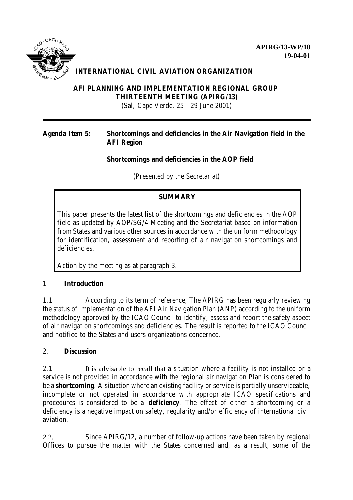

### **INTERNATIONAL CIVIL AVIATION ORGANIZATION**

#### **AFI PLANNING AND IMPLEMENTATION REGIONAL GROUP THIRTEENTH MEETING (APIRG/13)**

(Sal, Cape Verde, 25 - 29 June 2001)

#### **Agenda Item 5: Shortcomings and deficiencies in the Air Navigation field in the AFI Region**

#### **Shortcomings and deficiencies in the AOP field**

(Presented by the Secretariat)

### **SUMMARY**

This paper presents the latest list of the shortcomings and deficiencies in the AOP field as updated by AOP/SG/4 Meeting and the Secretariat based on information from States and various other sources in accordance with the uniform methodology for identification, assessment and reporting of air navigation shortcomings and deficiencies.

Action by the meeting as at paragraph 3.

#### 1 **Introduction**

1.1 According to its term of reference, The APIRG has been regularly reviewing the status of implementation of the AFI Air Navigation Plan (ANP) according to the uniform methodology approved by the ICAO Council to identify, assess and report the safety aspect of air navigation shortcomings and deficiencies. The result is reported to the ICAO Council and notified to the States and users organizations concerned.

#### 2. **Discussion**

2.1 It is advisable to recall that a situation where a facility is not installed or a service is not provided in accordance with the regional air navigation Plan is considered to be a **shortcoming**. A situation where an existing facility or service is partially unserviceable, incomplete or not operated in accordance with appropriate ICAO specifications and procedures is considered to be a **deficiency**. The effect of either a shortcoming or a deficiency is a negative impact on safety, regularity and/or efficiency of international civil aviation.

2.2. Since APIRG/12, a number of follow-up actions have been taken by regional Offices to pursue the matter with the States concerned and, as a result, some of the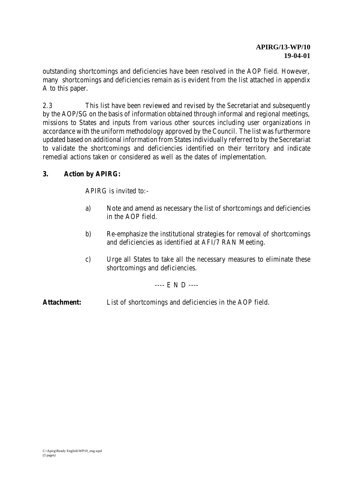outstanding shortcomings and deficiencies have been resolved in the AOP field. However, many shortcomings and deficiencies remain as is evident from the list attached in appendix A to this paper.

2.3 This list have been reviewed and revised by the Secretariat and subsequently by the AOP/SG on the basis of information obtained through informal and regional meetings, missions to States and inputs from various other sources including user organizations in accordance with the uniform methodology approved by the Council. The list was furthermore updated based on additional information from States individually referred to by the Secretariat to validate the shortcomings and deficiencies identified on their territory and indicate remedial actions taken or considered as well as the dates of implementation.

#### **3. Action by APIRG:**

APIRG is invited to:-

- a) Note and amend as necessary the list of shortcomings and deficiencies in the AOP field.
- b) Re-emphasize the institutional strategies for removal of shortcomings and deficiencies as identified at AFI/7 RAN Meeting.
- c) Urge all States to take all the necessary measures to eliminate these shortcomings and deficiencies.

---- E N D ----

**Attachment:** List of shortcomings and deficiencies in the AOP field.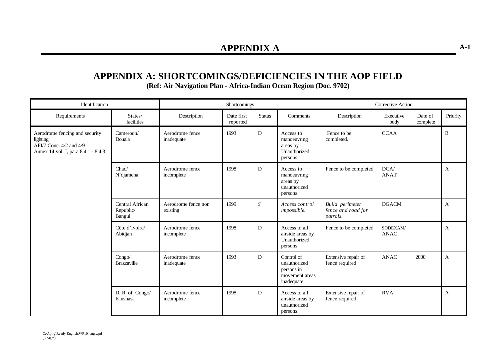# **APPENDIX A: SHORTCOMINGS/DEFICIENCIES IN THE AOP FIELD**

**(Ref: Air Navigation Plan - Africa-Indian Ocean Region (Doc. 9702)**

| Identification                                                                                              |                                        |                                 | Shortcomings           |                  |                                                                          |                                                   | Corrective Action       |                     |              |
|-------------------------------------------------------------------------------------------------------------|----------------------------------------|---------------------------------|------------------------|------------------|--------------------------------------------------------------------------|---------------------------------------------------|-------------------------|---------------------|--------------|
| Requirements                                                                                                | States/<br>facilities                  | Description                     | Date first<br>reported | <b>Status</b>    | Comments                                                                 | Description                                       | Executive<br>body       | Date of<br>complete | Priority     |
| Aerodrome fencing and security<br>lighting<br>AFI/7 Conc. 4/2 and 4/9<br>Annex 14 vol I, para 8.4.1 - 8.4.3 | Cameroon/<br>Douala                    | Aerodrome fence<br>inadequate   | 1993                   | D                | Access to<br>manoeuvring<br>areas by<br>Unauthorized<br>persons.         | Fence to be<br>completed.                         | <b>CCAA</b>             |                     | B            |
|                                                                                                             | Chad/<br>N'djamena                     | Aerodrome fence<br>incomplete   | 1998                   | D                | Access to<br>manoeuvring<br>areas by<br>unauthorized<br>persons.         | Fence to be completed                             | DCA/<br><b>ANAT</b>     |                     | $\mathbf{A}$ |
|                                                                                                             | Central African<br>Republic/<br>Bangui | Aerodrome fence non<br>existing | 1999                   | $\boldsymbol{S}$ | Access control<br>impossible.                                            | Build perimeter<br>fence and road for<br>patrols. | <b>DGACM</b>            |                     | A            |
|                                                                                                             | Côte d'Ivoire/<br>Abidjan              | Aerodrome fence<br>incomplete   | 1998                   | D                | Access to all<br>airside areas by<br>Unauthorized<br>persons.            | Fence to be completed                             | SODEXAM/<br><b>ANAC</b> |                     | $\mathbf{A}$ |
|                                                                                                             | Congo/<br>Brazzaville                  | Aerodrome fence<br>inadequate   | 1993                   | D                | Control of<br>unauthorized<br>persons in<br>movement areas<br>inadequate | Extensive repair of<br>fence required             | <b>ANAC</b>             | 2000                | A            |
|                                                                                                             | D. R. of Congo/<br>Kinshasa            | Aerodrome fence<br>incomplete   | 1998                   | D                | Access to all<br>airside areas by<br>unauthorized<br>persons.            | Extensive repair of<br>fence required             | <b>RVA</b>              |                     | A            |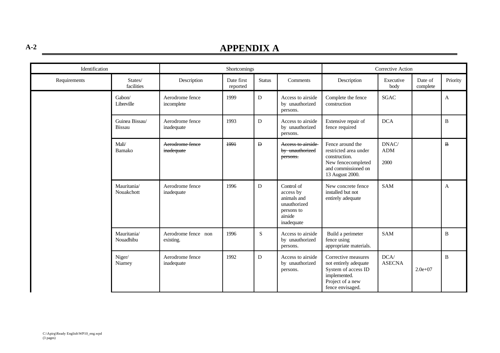# **A-2 APPENDIX A**

| Identification |                                 |                                  | Shortcomings           |               |                                                                                               |                                                                                                                             | Corrective Action           |                     |              |
|----------------|---------------------------------|----------------------------------|------------------------|---------------|-----------------------------------------------------------------------------------------------|-----------------------------------------------------------------------------------------------------------------------------|-----------------------------|---------------------|--------------|
| Requirements   | States/<br>facilities           | Description                      | Date first<br>reported | <b>Status</b> | Comments                                                                                      | Description                                                                                                                 | Executive<br>body           | Date of<br>complete | Priority     |
|                | Gabon/<br>Libreville            | Aerodrome fence<br>incomplete    | 1999                   | D             | Access to airside<br>by unauthorized<br>persons.                                              | Complete the fence<br>construction                                                                                          | <b>SGAC</b>                 |                     | A            |
|                | Guinea Bissau/<br><b>Bissau</b> | Aerodrome fence<br>inadequate    | 1993                   | D             | Access to airside<br>by unauthorized<br>persons.                                              | Extensive repair of<br>fence required                                                                                       | <b>DCA</b>                  |                     | B            |
|                | Mali/<br>Bamako                 | Aerodrome fence<br>inadequate    | 1991                   | Đ             | Access to airside<br>by unauthorized<br>persons.                                              | Fence around the<br>restricted area under<br>construction.<br>New fencecompleted<br>and commissioned on<br>13 August 2000.  | DNAC/<br><b>ADM</b><br>2000 |                     | $\bf{B}$     |
|                | Mauritania/<br>Nouakchott       | Aerodrome fence<br>inadequate    | 1996                   | D             | Control of<br>access by<br>animals and<br>unauthorized<br>persons to<br>airside<br>inadequate | New concrete fence<br>installed but not<br>entirely adequate                                                                | <b>SAM</b>                  |                     | $\mathbf{A}$ |
|                | Mauritania/<br>Nouadhibu        | Aerodrome fence non<br>existing. | 1996                   | S             | Access to airside<br>by unauthorized<br>persons.                                              | Build a perimeter<br>fence using<br>appropriate materials.                                                                  | <b>SAM</b>                  |                     | B            |
|                | Niger/<br>Niamey                | Aerodrome fence<br>inadequate    | 1992                   | D             | Access to airside<br>by unauthorized<br>persons.                                              | Corrective measures<br>not entirely adequate<br>System of access ID<br>implemented.<br>Project of a new<br>fence envisaged. | DCA/<br><b>ASECNA</b>       | $2.0e+07$           | $\, {\bf B}$ |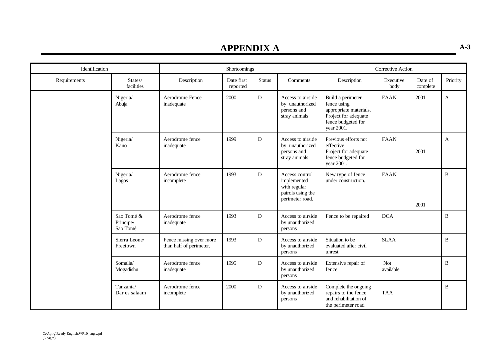| Identification |                                     |                                                    | Shortcomings           |               |                                                                                       |                                                                                                                        | <b>Corrective Action</b> |                     |              |
|----------------|-------------------------------------|----------------------------------------------------|------------------------|---------------|---------------------------------------------------------------------------------------|------------------------------------------------------------------------------------------------------------------------|--------------------------|---------------------|--------------|
| Requirements   | States/<br>facilities               | Description                                        | Date first<br>reported | <b>Status</b> | Comments                                                                              | Description                                                                                                            | Executive<br>body        | Date of<br>complete | Priority     |
|                | Nigeria/<br>Abuja                   | Aerodrome Fence<br>inadequate                      | 2000                   | D             | Access to airside<br>by unauthorized<br>persons and<br>stray animals                  | Build a perimeter<br>fence using<br>appropriate materials.<br>Project for adequate<br>fence budgeted for<br>year 2001. | <b>FAAN</b>              | 2001                | A            |
|                | Nigeria/<br>Kano                    | Aerodrome fence<br>inadequate                      | 1999                   | D             | Access to airside<br>by unauthorized<br>persons and<br>stray animals                  | Previous efforts not<br>effective.<br>Project for adequate<br>fence budgeted for<br>year 2001.                         | <b>FAAN</b>              | 2001                | $\mathbf{A}$ |
|                | Nigeria/<br>Lagos                   | Aerodrome fence<br>incomplete                      | 1993                   | $\mathbf D$   | Access control<br>implemented<br>with regular<br>patrols using the<br>perimeter road. | New type of fence<br>under construction.                                                                               | <b>FAAN</b>              | 2001                | $\, {\bf B}$ |
|                | Sao Tomé &<br>Principe/<br>Sao Tomé | Aerodrome fence<br>inadequate                      | 1993                   | $\mathbf D$   | Access to airside<br>by unauthorized<br>persons                                       | Fence to be repaired                                                                                                   | <b>DCA</b>               |                     | $\bf{B}$     |
|                | Sierra Leone/<br>Freetown           | Fence missing over more<br>than half of perimeter. | 1993                   | D             | Access to airside<br>by unauthorized<br>persons                                       | Situation to be<br>evaluated after civil<br>unrest                                                                     | <b>SLAA</b>              |                     | $\bf{B}$     |
|                | Somalia/<br>Mogadishu               | Aerodrome fence<br>inadequate                      | 1995                   | D             | Access to airside<br>by unauthorized<br>persons                                       | Extensive repair of<br>fence                                                                                           | <b>Not</b><br>available  |                     | B            |
|                | Tanzania/<br>Dar es salaam          | Aerodrome fence<br>incomplete                      | 2000                   | D             | Access to airside<br>by unauthorized<br>persons                                       | Complete the ongoing<br>repairs to the fence<br>and rehabilitation of<br>the perimeter road                            | <b>TAA</b>               |                     | B            |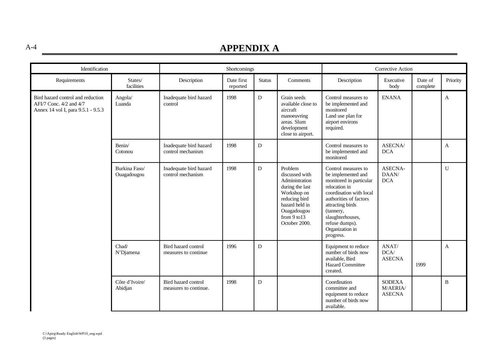| Identification                                                                                     |                              |                                              | Shortcomings           |               |                                                                                                                                                                  |                                                                                                                                                                                                                                                   | Corrective Action                          |                     |           |
|----------------------------------------------------------------------------------------------------|------------------------------|----------------------------------------------|------------------------|---------------|------------------------------------------------------------------------------------------------------------------------------------------------------------------|---------------------------------------------------------------------------------------------------------------------------------------------------------------------------------------------------------------------------------------------------|--------------------------------------------|---------------------|-----------|
| Requirements                                                                                       | States/<br>facilities        | Description                                  | Date first<br>reported | <b>Status</b> | Comments                                                                                                                                                         | Description                                                                                                                                                                                                                                       | Executive<br>body                          | Date of<br>complete | Priority  |
| Bird hazard control and reduction<br>AFI/7 Conc. 4/2 and 4/7<br>Annex 14 vol I, para 9.5.1 - 9.5.3 | Angola/<br>Luanda            | Inadequate bird hazard<br>control            | 1998                   | D             | Grain seeds<br>available close to<br>aircraft<br>manoeuvring<br>areas. Slum<br>development<br>close to airport.                                                  | Control measures to<br>be implemented and<br>monitored<br>Land use plan for<br>airport environs<br>required.                                                                                                                                      | <b>ENANA</b>                               |                     | A         |
|                                                                                                    | Benin/<br>Cotonou            | Inadequate bird hazard<br>control mechanism  | 1998                   | D             |                                                                                                                                                                  | Control measures to<br>be implemented and<br>monitored                                                                                                                                                                                            | <b>ASECNA</b> /<br><b>DCA</b>              |                     | A         |
|                                                                                                    | Burkina Faso/<br>Ouagadougou | Inadequate bird hazard<br>control mechanism  | 1998                   | D             | Problem<br>discussed with<br>Administration<br>during the last<br>Workshop on<br>reducing bird<br>hazard held in<br>Ouagadougou<br>from 9 to 13<br>October 2000. | Control measures to<br>be implemented and<br>monitored in particular<br>relocation in<br>coordination with local<br>authorities of factors<br>attracting birds<br>(tannery,<br>slaughterhouses,<br>refuse dumps).<br>Organization in<br>progress. | ASECNA-<br>DAAN/<br><b>DCA</b>             |                     | ${\bf U}$ |
|                                                                                                    | Chad/<br>N'Djamena           | Bird hazard control<br>measures to continue  | 1996                   | D             |                                                                                                                                                                  | Equipment to reduce<br>number of birds now<br>available, Bird<br>Hazard Committee<br>created.                                                                                                                                                     | ANAT/<br>DCA/<br><b>ASECNA</b>             | 1999                | A         |
|                                                                                                    | Côte d'Ivoire/<br>Abidjan    | Bird hazard control<br>measures to continue. | 1998                   | D             |                                                                                                                                                                  | Coordination<br>committee and<br>equipment to reduce<br>number of birds now<br>available.                                                                                                                                                         | <b>SODEXA</b><br>M/AERIA/<br><b>ASECNA</b> |                     | B         |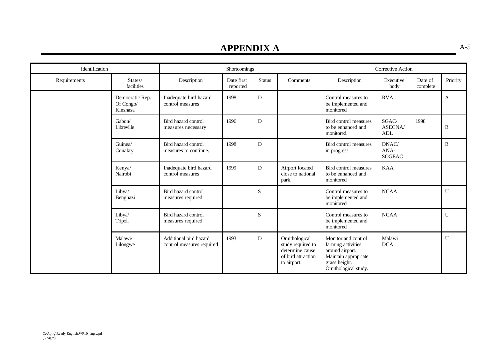| Identification |                                          |                                                     | Shortcomings           |               |                                                                                             |                                                                                                                                | Corrective Action              |                     |              |
|----------------|------------------------------------------|-----------------------------------------------------|------------------------|---------------|---------------------------------------------------------------------------------------------|--------------------------------------------------------------------------------------------------------------------------------|--------------------------------|---------------------|--------------|
| Requirements   | States/<br>facilities                    | Description                                         | Date first<br>reported | <b>Status</b> | Comments                                                                                    | Description                                                                                                                    | Executive<br>body              | Date of<br>complete | Priority     |
|                | Democratic Rep.<br>Of Congo/<br>Kinshasa | Inadequate bird hazard<br>control measures          | 1998                   | $\mathbf D$   |                                                                                             | Control measures to<br>be implemented and<br>monitored                                                                         | <b>RVA</b>                     |                     | $\mathbf{A}$ |
|                | Gabon/<br>Libreville                     | Bird hazard control<br>measures necessary           | 1996                   | D             |                                                                                             | Bird control measures<br>to be enhanced and<br>monitored.                                                                      | SGAC/<br>ASECNA/<br>ADL        | 1998                | B            |
|                | Guinea/<br>Conakry                       | Bird hazard control<br>measures to continue.        | 1998                   | D             |                                                                                             | Bird control measures<br>in progress                                                                                           | DNAC/<br>ANA-<br><b>SOGEAC</b> |                     | B            |
|                | Kenya/<br>Nairobi                        | Inadequate bird hazard<br>control measures          | 1999                   | D             | Airport located<br>close to national<br>park.                                               | Bird control measures<br>to be enhanced and<br>monitored                                                                       | <b>KAA</b>                     |                     |              |
|                | Libya/<br>Benghazi                       | Bird hazard control<br>measures required            |                        | $\mathbf S$   |                                                                                             | Control measures to<br>be implemented and<br>monitored                                                                         | <b>NCAA</b>                    |                     | U            |
|                | Libya/<br>Tripoli                        | Bird hazard control<br>measures required            |                        | ${\bf S}$     |                                                                                             | Control measures to<br>be implemented and<br>monitored                                                                         | <b>NCAA</b>                    |                     | $\mathbf U$  |
|                | Malawi/<br>Lilongwe                      | Additional bird hazard<br>control measures required | 1993                   | D             | Ornithological<br>study required to<br>determine cause<br>of bird attraction<br>to airport. | Monitor and control<br>farming activities<br>around airport.<br>Maintain appropriate<br>grass height.<br>Ornithological study. | Malawi<br><b>DCA</b>           |                     | U            |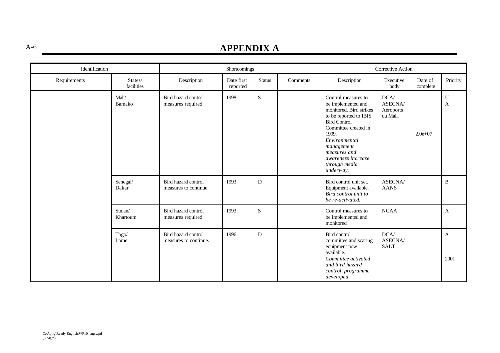# A-6 **APPENDIX A**

| Identification |                       | Shortcomings                                 |                        |               |          |                                                                                                                                                                                                                                                                   | Corrective Action                                  |                     |                                      |
|----------------|-----------------------|----------------------------------------------|------------------------|---------------|----------|-------------------------------------------------------------------------------------------------------------------------------------------------------------------------------------------------------------------------------------------------------------------|----------------------------------------------------|---------------------|--------------------------------------|
| Requirements   | States/<br>facilities | Description                                  | Date first<br>reported | <b>Status</b> | Comments | Description                                                                                                                                                                                                                                                       | Executive<br>body                                  | Date of<br>complete | Priority                             |
|                | Mali/<br>Bamako       | Bird hazard control<br>measures required     | 1998                   | ${\bf S}$     |          | Control measures to<br>be implemented and<br>monitored. Bird strikes<br>to be reported to IBIS.<br><b>Bird Control</b><br>Committee created in<br>1999.<br>Environmental<br>management<br>measures and<br><i>awareness increase</i><br>through media<br>underway. | $DCA/$<br><b>ASECNA</b> /<br>Aéroports<br>du Mali. | $2.0e + 07$         | $\mathbf{U}% _{0}$<br>$\overline{A}$ |
|                | Senegal/<br>Dakar     | Bird hazard control<br>measures to continue  | 1993                   | D             |          | Bird control unit set.<br>Equipment available.<br>Bird control unit to<br>be re-activated.                                                                                                                                                                        | ASECNA/<br><b>AANS</b>                             |                     | B                                    |
|                | Sudan/<br>Khartoum    | Bird hazard control<br>measures required     | 1993                   | ${\bf S}$     |          | Control measures to<br>be implemented and<br>monitored                                                                                                                                                                                                            | <b>NCAA</b>                                        |                     | $\mathbf{A}$                         |
|                | Togo/<br>Lome         | Bird hazard control<br>measures to continue. | 1996                   | D             |          | Bird control<br>committee and scaring<br>equipment now<br>available.<br>Committee activated<br>and bird hazard<br>control programme<br>developed.                                                                                                                 | DCA/<br>ASECNA/<br><b>SALT</b>                     |                     | A<br>2001                            |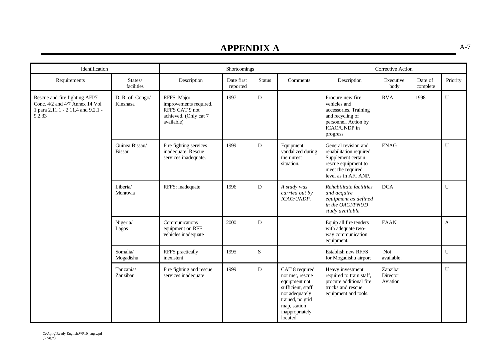| Identification                                                                                                    |                             |                                                                                                | Shortcomings           |               |                                                                                                                                                             |                                                                                                                                            | Corrective Action                |                     |                |
|-------------------------------------------------------------------------------------------------------------------|-----------------------------|------------------------------------------------------------------------------------------------|------------------------|---------------|-------------------------------------------------------------------------------------------------------------------------------------------------------------|--------------------------------------------------------------------------------------------------------------------------------------------|----------------------------------|---------------------|----------------|
| Requirements                                                                                                      | States/<br>facilities       | Description                                                                                    | Date first<br>reported | <b>Status</b> | Comments                                                                                                                                                    | Description                                                                                                                                | Executive<br>body                | Date of<br>complete | Priority       |
| Rescue and fire fighting AFI/7<br>Conc. 4/2 and 4/7 Annex 14 Vol.<br>1 para 2.11.1 - 2.11.4 and 9.2.1 -<br>9.2.33 | D. R. of Congo/<br>Kinshasa | RFFS: Major<br>improvements required.<br>RFFS CAT 9 not<br>achieved. (Only cat 7<br>available) | 1997                   | ${\bf D}$     |                                                                                                                                                             | Procure new fire<br>vehicles and<br>accessories. Training<br>and recycling of<br>personnel. Action by<br>ICAO/UNDP in<br>progress          | <b>RVA</b>                       | 1998                | ${\bf U}$      |
|                                                                                                                   | Guinea Bissau/<br>Bissau    | Fire fighting services<br>inadequate. Rescue<br>services inadequate.                           | 1999                   | D             | Equipment<br>vandalized during<br>the unrest<br>situation.                                                                                                  | General revision and<br>rehabilitation required.<br>Supplement certain<br>rescue equipment to<br>meet the required<br>level as in AFI ANP. | <b>ENAG</b>                      |                     | $\mathbf U$    |
|                                                                                                                   | Liberia/<br>Monrovia        | RFFS: inadequate                                                                               | 1996                   | ${\bf D}$     | A study was<br>carried out by<br>ICAO/UNDP.                                                                                                                 | Rehabilitate facilities<br>and acquire<br>equipment as defined<br>in the OACI/PNUD<br>study available.                                     | <b>DCA</b>                       |                     | $\overline{U}$ |
|                                                                                                                   | Nigeria/<br>Lagos           | Communications<br>equipment on RFF<br>vehicles inadequate                                      | 2000                   | D             |                                                                                                                                                             | Equip all fire tenders<br>with adequate two-<br>way communication<br>equipment.                                                            | <b>FAAN</b>                      |                     | $\mathbf{A}$   |
|                                                                                                                   | Somalia/<br>Mogadishu       | RFFS practically<br>inexistent                                                                 | 1995                   | $\mathbf S$   |                                                                                                                                                             | Establish new RFFS<br>for Mogadishu airport                                                                                                | <b>Not</b><br>available!         |                     | U              |
|                                                                                                                   | Tanzania/<br>Zanzibar       | Fire fighting and rescue<br>services inadequate                                                | 1999                   | D             | CAT 8 required<br>not met, rescue<br>equipment not<br>sufficient, staff<br>not adequately<br>trained, no grid<br>map, station<br>inappropriately<br>located | Heavy investment<br>required to train staff,<br>procure additional fire<br>trucks and rescue<br>equipment and tools.                       | Zanzibar<br>Director<br>Aviation |                     | U              |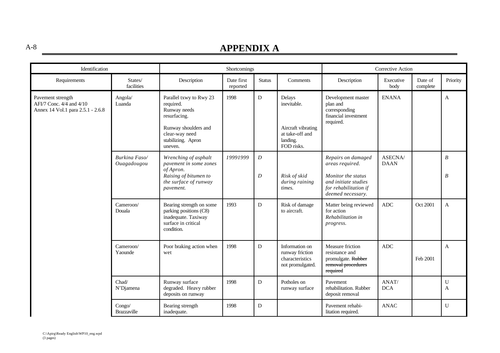| Identification                                                                     |                              |                                                                                                                                                 | Shortcomings           |               |                                                                                          |                                                                                                                                   | Corrective Action      |                     |              |
|------------------------------------------------------------------------------------|------------------------------|-------------------------------------------------------------------------------------------------------------------------------------------------|------------------------|---------------|------------------------------------------------------------------------------------------|-----------------------------------------------------------------------------------------------------------------------------------|------------------------|---------------------|--------------|
| Requirements                                                                       | States/<br>facilities        | Description                                                                                                                                     | Date first<br>reported | <b>Status</b> | Comments                                                                                 | Description                                                                                                                       | Executive<br>body      | Date of<br>complete | Priority     |
| Pavement strength<br>AFI/7 Conc. 4/4 and 4/10<br>Annex 14 Vol.1 para 2.5.1 - 2.6.8 | Angola/<br>Luanda            | Parallel txwy to Rwy 23<br>required.<br>Runway needs<br>resurfacing.<br>Runway shoulders and<br>clear-way need<br>stabilizing. Apron<br>uneven. | 1998                   | D             | Delays<br>inevitable.<br>Aircraft vibrating<br>at take-off and<br>landing.<br>FOD risks. | Development master<br>plan and<br>corresponding<br>financial investment<br>required.                                              | <b>ENANA</b>           |                     | $\mathbf{A}$ |
|                                                                                    | Burkina Faso/<br>Ouagadougou | Wrenching of asphalt<br>pavement in some zones<br>of Apron.<br>Raising of bitumen to<br>the surface of runway<br>pavement.                      | 19991999               | D<br>D        | Risk of skid<br>during raining<br>times.                                                 | Repairs on damaged<br>areas required.<br>Monitor the status<br>and initiate studies<br>for rehabilitation if<br>deemed necessary. | ASECNA/<br><b>DAAN</b> |                     | B<br>B       |
|                                                                                    | Cameroon/<br>Douala          | Bearing strength on some<br>parking positions (C8)<br>inadequate. Taxiway<br>surface in critical<br>condition.                                  | 1993                   | D             | Risk of damage<br>to aircraft.                                                           | Matter being reviewed<br>for action<br>Rehabilitation in<br>progress.                                                             | <b>ADC</b>             | Oct 2001            | A            |
|                                                                                    | Cameroon/<br>Yaounde         | Poor braking action when<br>wet                                                                                                                 | 1998                   | D             | Information on<br>runway friction<br>characteristics<br>not promulgated.                 | Measure friction<br>resistance and<br>promulgate. Rubber<br>removal procedures<br>required                                        | <b>ADC</b>             | Feb 2001            | A            |
|                                                                                    | Chad/<br>N'Djamena           | Runway surface<br>degraded. Heavy rubber<br>deposits on runway                                                                                  | 1998                   | D             | Potholes on<br>runway surface                                                            | Pavement<br>rehabilitation. Rubber<br>deposit removal                                                                             | ANAT/<br><b>DCA</b>    |                     | U<br>A       |
|                                                                                    | Congo/<br><b>Brazzaville</b> | Bearing strength<br>inadequate.                                                                                                                 | 1998                   | D             |                                                                                          | Pavement rehabi-<br>litation required.                                                                                            | <b>ANAC</b>            |                     | U            |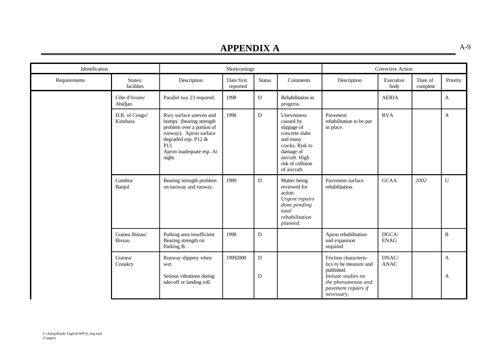| Identification |                                 |                                                                                                                                                                               | Shortcomings           |               |                                                                                                                                                             |                                                                                                                                                 | Corrective Action    |                     |                   |
|----------------|---------------------------------|-------------------------------------------------------------------------------------------------------------------------------------------------------------------------------|------------------------|---------------|-------------------------------------------------------------------------------------------------------------------------------------------------------------|-------------------------------------------------------------------------------------------------------------------------------------------------|----------------------|---------------------|-------------------|
| Requirements   | States/<br>facilities           | Description                                                                                                                                                                   | Date first<br>reported | <b>Status</b> | Comments                                                                                                                                                    | Description                                                                                                                                     | Executive<br>body    | Date of<br>complete | Priority          |
|                | Côte d'Ivoire/<br>Abidjan       | Parallel twy 23 required.                                                                                                                                                     | 1998                   | D             | Rehabilitation in<br>progress.                                                                                                                              |                                                                                                                                                 | <b>AERIA</b>         |                     | $\mathbf{A}$      |
|                | D.R. of Congo/<br>Kinshasa      | Rwy surface uneven and<br>bumpy (bearing strength<br>problem over a portion of<br>runway). Apron surface<br>degraded esp. P12 &<br>P13.<br>Apron inadequate esp. At<br>night. | 1998                   | D             | Unevenness<br>caused by<br>slippage of<br>concrete slabs<br>and many<br>cracks. Risk to<br>damage of<br>aircraft. High<br>risk of collision<br>of aircraft. | Pavement<br>rehabilitation to be put<br>in place.                                                                                               | <b>RVA</b>           |                     | $\mathbf{A}$      |
|                | Gambia/<br>Banjul               | Bearing strength problem<br>on taxiway and runway.                                                                                                                            | 1999                   | D             | Matter being<br>reviewed for<br>action.<br><b>Urgent repairs</b><br>done pending<br>total<br>rehabilitation<br>planned.                                     | Pavement surface<br>rehabilitation.                                                                                                             | <b>GCAA</b>          | 2002                | U                 |
|                | Guinea Bissau/<br><b>Bissau</b> | Parking area insufficient<br>Bearing strength on<br>Parking B.                                                                                                                | 1998                   | D             |                                                                                                                                                             | Apron rehabilitation<br>and expansion<br>required                                                                                               | DGCA/<br><b>ENAG</b> |                     | B                 |
|                | Guinea/<br>Conakry              | Runway slippery when<br>wet.<br>Serious vibrations during<br>take-off or landing roll.                                                                                        | 19992000               | D<br>D        |                                                                                                                                                             | Friction characteris-<br>tics to be measure and<br>published.<br>Initiate studies on<br>the phenomenon and<br>pavement repairs if<br>necessary. | DNAC/<br><b>ANAC</b> |                     | $\mathbf{A}$<br>A |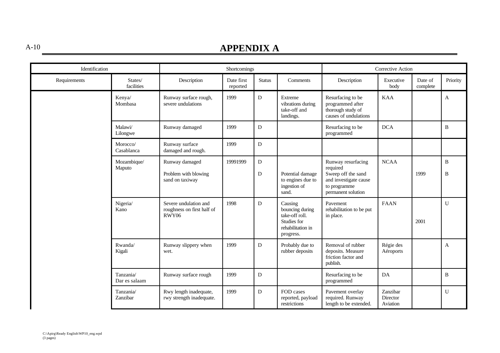# A-10 **APPENDIX A**

| Identification |                            |                                                                     | Shortcomings           |               |                                                                                               |                                                                                                                     | <b>Corrective Action</b>         |                     |             |
|----------------|----------------------------|---------------------------------------------------------------------|------------------------|---------------|-----------------------------------------------------------------------------------------------|---------------------------------------------------------------------------------------------------------------------|----------------------------------|---------------------|-------------|
| Requirements   | States/<br>facilities      | Description                                                         | Date first<br>reported | <b>Status</b> | Comments                                                                                      | Description                                                                                                         | Executive<br>body                | Date of<br>complete | Priority    |
|                | Kenya/<br>Mombasa          | Runway surface rough,<br>severe undulations                         | 1999                   | D             | Extreme<br>vibrations during<br>take-off and<br>landings.                                     | Resurfacing to be<br>programmed after<br>thorough study of<br>causes of undulations                                 | <b>KAA</b>                       |                     | A           |
|                | Malawi/<br>Lilongwe        | Runway damaged                                                      | 1999                   | D             |                                                                                               | Resurfacing to be<br>programmed                                                                                     | <b>DCA</b>                       |                     | $\mathbf B$ |
|                | Morocco/<br>Casablanca     | Runway surface<br>damaged and rough.                                | 1999                   | D             |                                                                                               |                                                                                                                     |                                  |                     |             |
|                | Mozambique/<br>Maputo      | Runway damaged<br>Problem with blowing<br>sand on taxiway           | 19991999               | D<br>D        | Potential damage<br>to engines due to<br>ingestion of<br>sand.                                | Runway resurfacing<br>required<br>Sweep off the sand<br>and investigate cause<br>to programme<br>permanent solution | <b>NCAA</b>                      | 1999                | B<br>B      |
|                | Nigeria/<br>Kano           | Severe undulation and<br>roughness on first half of<br><b>RWY06</b> | 1998                   | D             | Causing<br>bouncing during<br>take-off roll.<br>Studies for<br>rehabilitation in<br>progress. | Pavement<br>rehabilitation to be put<br>in place.                                                                   | <b>FAAN</b>                      | 2001                | U           |
|                | Rwanda/<br>Kigali          | Runway slippery when<br>wet.                                        | 1999                   | D             | Probably due to<br>rubber deposits                                                            | Removal of rubber<br>deposits. Measure<br>friction factor and<br>publish.                                           | Régie des<br>Aéroports           |                     | A           |
|                | Tanzania/<br>Dar es salaam | Runway surface rough                                                | 1999                   | D             |                                                                                               | Resurfacing to be<br>programmed                                                                                     | DA                               |                     | B           |
|                | Tanzania/<br>Zanzibar      | Rwy length inadequate,<br>rwy strength inadequate.                  | 1999                   | D             | FOD cases<br>reported, payload<br>restrictions                                                | Pavement overlay<br>required. Runway<br>length to be extended.                                                      | Zanzibar<br>Director<br>Aviation |                     | U           |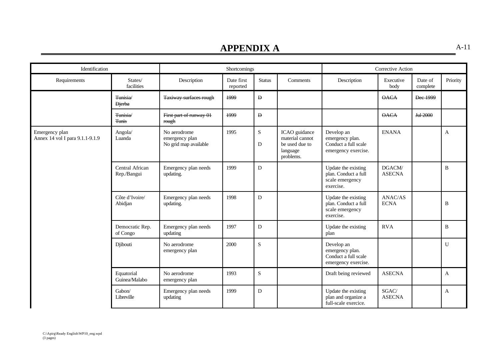| Identification                                    |                                |                                                         | Shortcomings           |               |                                                                             |                                                                              | Corrective Action             |                     |              |
|---------------------------------------------------|--------------------------------|---------------------------------------------------------|------------------------|---------------|-----------------------------------------------------------------------------|------------------------------------------------------------------------------|-------------------------------|---------------------|--------------|
| Requirements                                      | States/<br>facilities          | Description                                             | Date first<br>reported | <b>Status</b> | Comments                                                                    | Description                                                                  | Executive<br>body             | Date of<br>complete | Priority     |
|                                                   | Tunisia/<br><b>Djerba</b>      | <b>Taxiway surfaces rough</b>                           | 1999                   | $\mathbf{D}$  |                                                                             |                                                                              | 0ACA                          | Dec 1999            |              |
|                                                   | Tunisia/<br><b>Tunis</b>       | First part of runway 01<br>rough                        | 1999                   | $\mathbf{D}$  |                                                                             |                                                                              | <b>OACA</b>                   | Jul 2000            |              |
| Emergency plan<br>Annex 14 vol I para 9.1.1-9.1.9 | Angola/<br>Luanda              | No aerodrome<br>emergency plan<br>No grid map available | 1995                   | S<br>D        | ICAO guidance<br>material cannot<br>be used due to<br>language<br>problems. | Develop an<br>emergency plan.<br>Conduct a full scale<br>emergency exercise. | <b>ENANA</b>                  |                     | $\mathbf{A}$ |
|                                                   | Central African<br>Rep./Bangui | Emergency plan needs<br>updating.                       | 1999                   | D             |                                                                             | Update the existing<br>plan. Conduct a full<br>scale emergency<br>exercise.  | DGACM/<br><b>ASECNA</b>       |                     | $\, {\bf B}$ |
|                                                   | Côte d'Ivoire/<br>Abidjan      | Emergency plan needs<br>updating.                       | 1998                   | D             |                                                                             | Update the existing<br>plan. Conduct a full<br>scale emergency<br>exercise.  | <b>ANAC/AS</b><br><b>ECNA</b> |                     | $\, {\bf B}$ |
|                                                   | Democratic Rep.<br>of Congo    | Emergency plan needs<br>updating                        | 1997                   | D             |                                                                             | Update the existing<br>plan                                                  | <b>RVA</b>                    |                     | $\, {\bf B}$ |
|                                                   | Djibouti                       | No aerodrome<br>emergency plan                          | 2000                   | S             |                                                                             | Develop an<br>emergency plan.<br>Conduct a full scale<br>emergency exercise. |                               |                     | $\mathbf{U}$ |
|                                                   | Equatorial<br>Guinea/Malabo    | No aerodrome<br>emergency plan                          | 1993                   | ${\bf S}$     |                                                                             | Draft being reviewed                                                         | <b>ASECNA</b>                 |                     | $\mathbf{A}$ |
|                                                   | Gabon/<br>Libreville           | Emergency plan needs<br>updating                        | 1999                   | D             |                                                                             | Update the existing<br>plan and organize a<br>full-scale exercice.           | SGAC/<br><b>ASECNA</b>        |                     | $\mathbf{A}$ |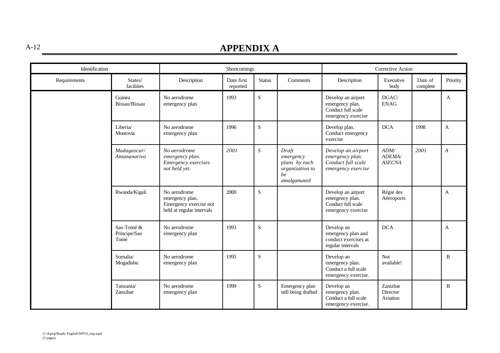A-12 **APPENDIX A**

| Identification |                                    |                                                                                        | Shortcomings           |                  |                                                                             |                                                                                   | Corrective Action                |                     |                  |
|----------------|------------------------------------|----------------------------------------------------------------------------------------|------------------------|------------------|-----------------------------------------------------------------------------|-----------------------------------------------------------------------------------|----------------------------------|---------------------|------------------|
| Requirements   | States/<br>facilities              | Description                                                                            | Date first<br>reported | <b>Status</b>    | Comments                                                                    | Description                                                                       | Executive<br>body                | Date of<br>complete | Priority         |
|                | Guinea<br>Bissau/Bissau            | No aerodrome<br>emergency plan                                                         | 1993                   | $\mathbf S$      |                                                                             | Develop an airport<br>emergency plan.<br>Conduct full scale<br>emergency exercise | DGAC/<br><b>ENAG</b>             |                     | A                |
|                | Liberia/<br>Monrovia               | No aerodrome<br>emergency plan                                                         | 1996                   | S                |                                                                             | Develop plan.<br>Conduct emergency<br>exercise                                    | DCA                              | 1998                | A                |
|                | Madagascar/<br>Antananarivo        | No aerodrome<br>emergency plan.<br>Emergency exercises<br>not held yet.                | 2001                   | $\boldsymbol{S}$ | Draft<br>emergency<br>plans by each<br>organization to<br>be<br>amalgamated | Develop an airport<br>emergency plan.<br>Conduct full scale<br>emergency exercise | ADM/<br>ADEMA/<br><b>ASECNA</b>  | 2001                | $\boldsymbol{A}$ |
|                | Rwanda/Kigali                      | No aerodrome<br>emergency plan.<br>Emergency exercise not<br>held at regular intervals | 2000                   | S                |                                                                             | Develop an airport<br>emergency plan.<br>Conduct full scale<br>emergency exercise | Régie des<br>Aéeroports          |                     | $\mathbf{A}$     |
|                | Sao Tomé &<br>Principe/Sao<br>Tomé | No aerodrome<br>emergency plan                                                         | 1993                   | $\mathbf S$      |                                                                             | Develop an<br>emergency plan and<br>conduct exercises at<br>regular intervals     | <b>DCA</b>                       |                     | A                |
|                | Somalia/<br>Mogadishu              | No aerodrome<br>emergency plan                                                         | 1995                   | S                |                                                                             | Develop an<br>emergency plan.<br>Conduct a full scale<br>emergency exercise.      | Not<br>available!                |                     | B                |
|                | Tanzania/<br>Zanzibar              | No aerodrome<br>emergency plan                                                         | 1999                   | S                | Emergency plan<br>still being drafted                                       | Develop an<br>emergency plan.<br>Conduct a full scale<br>emergency exercise.      | Zanizbar<br>Director<br>Aviation |                     | B                |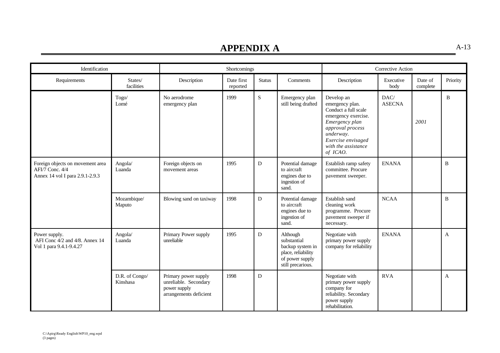| Identification                                                                         |                            | Shortcomings                                                                            |                        |               |                                                                                                           | Corrective Action                                                                                                                                                                        |                       |                     |              |
|----------------------------------------------------------------------------------------|----------------------------|-----------------------------------------------------------------------------------------|------------------------|---------------|-----------------------------------------------------------------------------------------------------------|------------------------------------------------------------------------------------------------------------------------------------------------------------------------------------------|-----------------------|---------------------|--------------|
| Requirements                                                                           | States/<br>facilities      | Description                                                                             | Date first<br>reported | <b>Status</b> | Comments                                                                                                  | Description                                                                                                                                                                              | Executive<br>body     | Date of<br>complete | Priority     |
|                                                                                        | Togo/<br>Lomé              | No aerodrome<br>emergency plan                                                          | 1999                   | S             | Emergency plan<br>still being drafted                                                                     | Develop an<br>emergency plan.<br>Conduct a full scale<br>emergency exercise.<br>Emergency plan<br>approval process<br>underway.<br>Exercise envisaged<br>with the assistance<br>of ICAO. | DAC/<br><b>ASECNA</b> | 2001                | B            |
| Foreign objects on movement area<br>AFI/7 Conc. 4/4<br>Annex 14 vol I para 2.9.1-2.9.3 | Angola/<br>Luanda          | Foreign objects on<br>movement areas                                                    | 1995                   | $\mathbf{D}$  | Potential damage<br>to aircraft<br>engines due to<br>ingestion of<br>sand.                                | Establish ramp safety<br>committee. Procure<br>pavement sweeper.                                                                                                                         | <b>ENANA</b>          |                     | B            |
|                                                                                        | Mozambique/<br>Maputo      | Blowing sand on taxiway                                                                 | 1998                   | D             | Potential damage<br>to aircraft<br>engines due to<br>ingestion of<br>sand.                                | Establish sand<br>cleaning work<br>programme. Procure<br>pavement sweeper if<br>necessary.                                                                                               | <b>NCAA</b>           |                     | $\mathbf{B}$ |
| Power supply.<br>AFI Conc 4/2 and 4/8. Annex 14<br>Vol 1 para 9.4.1-9.4.27             | Angola/<br>Luanda          | Primary Power supply<br>unreliable                                                      | 1995                   | D             | Although<br>substantial<br>backup system in<br>place, reliability<br>of power supply<br>still precarious. | Negotiate with<br>primary power supply<br>company for reliability                                                                                                                        | <b>ENANA</b>          |                     | $\mathbf{A}$ |
|                                                                                        | D.R. of Congo/<br>Kinshasa | Primary power supply<br>unreliable. Secondary<br>power supply<br>arrangements deficient | 1998                   | D             |                                                                                                           | Negotiate with<br>primary power supply<br>company for<br>reliability. Secondary<br>power supply<br>rehabilitation.                                                                       | <b>RVA</b>            |                     | $\mathbf{A}$ |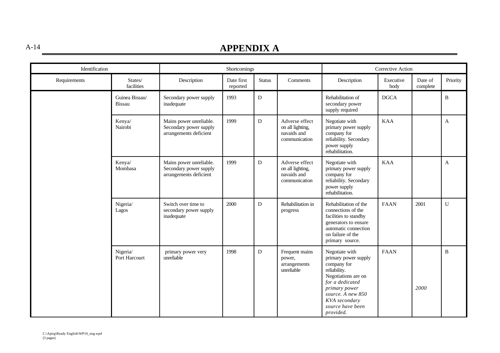A-14 **APPENDIX A**

| Identification |                                 |                                                                             | Shortcomings           |               |                                                                    | Corrective Action                                                                                                                                                                                       |                   |                     |              |
|----------------|---------------------------------|-----------------------------------------------------------------------------|------------------------|---------------|--------------------------------------------------------------------|---------------------------------------------------------------------------------------------------------------------------------------------------------------------------------------------------------|-------------------|---------------------|--------------|
| Requirements   | States/<br>facilities           | Description                                                                 | Date first<br>reported | <b>Status</b> | Comments                                                           | Description                                                                                                                                                                                             | Executive<br>body | Date of<br>complete | Priority     |
|                | Guinea Bissau/<br><b>Bissau</b> | Secondary power supply<br>inadequate                                        | 1993                   | $\mathbf D$   |                                                                    | Rehabilitation of<br>secondary power<br>supply required                                                                                                                                                 | <b>DGCA</b>       |                     | B            |
|                | Kenya/<br>Nairobi               | Mains power unreliable.<br>Secondary power supply<br>arrangements deficient | 1999                   | D             | Adverse effect<br>on all lighting,<br>navaids and<br>communication | Negotiate with<br>primary power supply<br>company for<br>reliability. Secondary<br>power supply<br>rehabilitation.                                                                                      | <b>KAA</b>        |                     | $\mathbf{A}$ |
|                | Kenya/<br>Mombasa               | Mains power unreliable.<br>Secondary power supply<br>arrangements deficient | 1999                   | $\mathbf D$   | Adverse effect<br>on all lighting,<br>navaids and<br>communication | Negotiate with<br>primary power supply<br>company for<br>reliability. Secondary<br>power supply<br>rehabilitation.                                                                                      | <b>KAA</b>        |                     | $\mathbf{A}$ |
|                | Nigeria/<br>Lagos               | Switch over time to<br>secondary power supply<br>inadequate                 | 2000                   | D             | Rehabilitation in<br>progress                                      | Rehabilitation of the<br>connections of the<br>facilities to standby<br>generators to ensure<br>automatic connection<br>on failure of the<br>primary source.                                            | <b>FAAN</b>       | 2001                | $\mathbf U$  |
|                | Nigeria/<br>Port Harcourt       | primary power very<br>unreliable                                            | 1998                   | D             | Frequent mains<br>power,<br>arrangements<br>unreliable             | Negotiate with<br>primary power supply<br>company for<br>reliability.<br>Negotiations are on<br>for a dedicated<br>primary power<br>source. A new 850<br>KVA secondary<br>source have been<br>provided. | <b>FAAN</b>       | 2000                | $\bf{B}$     |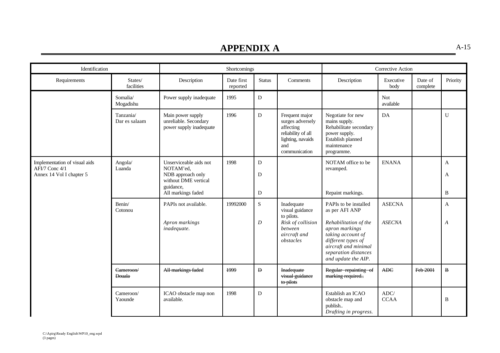| Identification                                                              |                                              | Shortcomings                                                                                                        |                        |               |                                                                                                                    | Corrective Action                                                                                                                                                                                    |                                |                     |                        |
|-----------------------------------------------------------------------------|----------------------------------------------|---------------------------------------------------------------------------------------------------------------------|------------------------|---------------|--------------------------------------------------------------------------------------------------------------------|------------------------------------------------------------------------------------------------------------------------------------------------------------------------------------------------------|--------------------------------|---------------------|------------------------|
| Requirements                                                                | $\mathbf{States}/% \mathbb{R}$<br>facilities | Description                                                                                                         | Date first<br>reported | <b>Status</b> | Comments                                                                                                           | Description                                                                                                                                                                                          | Executive<br>body              | Date of<br>complete | Priority               |
|                                                                             | Somalia/<br>Mogadishu                        | Power supply inadequate                                                                                             | 1995                   | D             |                                                                                                                    |                                                                                                                                                                                                      | <b>Not</b><br>available        |                     |                        |
|                                                                             | Tanzania/<br>Dar es salaam                   | Main power supply<br>unreliable. Secondary<br>power supply inadequate                                               | 1996                   | D             | Frequent major<br>surges adversely<br>affecting<br>reliability of all<br>lighting, navaids<br>and<br>communication | Negotiate for new<br>mains supply.<br>Rehabilitate secondary<br>power supply.<br>Establish planned<br>maintenance<br>programme.                                                                      | DA                             |                     | $\mathbf U$            |
| Implementation of visual aids<br>AFI/7 Conc 4/1<br>Annex 14 Vol I chapter 5 | Angola/<br>Luanda                            | Unserviceable aids not<br>NOTAM'ed.<br>NDB approach only<br>without DME vertical<br>guidance,<br>All markings faded | 1998                   | D<br>D<br>D   |                                                                                                                    | NOTAM office to be<br>revamped.<br>Repaint markings.                                                                                                                                                 | <b>ENANA</b>                   |                     | $\mathbf{A}$<br>A<br>B |
|                                                                             | Benin/<br>Cotonou                            | PAPIs not available.<br>Apron markings<br>inadequate.                                                               | 19992000               | S<br>D        | Inadequate<br>visual guidance<br>to pilots.<br>Risk of collision<br>between<br>aircraft and<br>obstacles           | PAPIs to be installed<br>as per AFI ANP<br>Rehabilitation of the<br>apron markings<br>taking account of<br>different types of<br>aircraft and minimal<br>separation distances<br>and update the AIP. | <b>ASECNA</b><br><b>ASECNA</b> |                     | A<br>A                 |
|                                                                             | Cameroon/<br><b>Douala</b>                   | All markings faded                                                                                                  | 1999                   | $\mathbf{D}$  | <b>Inadequate</b><br>visual guidance<br>to pilots                                                                  | Regular repainting of<br>marking required                                                                                                                                                            | ADC                            | Feb 2001            | $\bf{B}$               |
|                                                                             | Cameroon/<br>Yaounde                         | ICAO obstacle map non<br>available.                                                                                 | 1998                   | D             |                                                                                                                    | Establish an ICAO<br>obstacle map and<br>publish<br>Drafting in progress.                                                                                                                            | ADC/<br><b>CCAA</b>            |                     | B                      |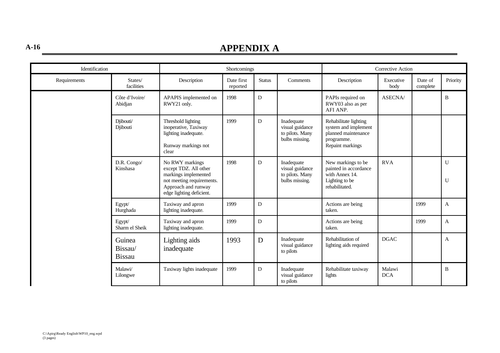### **A-16 APPENDIX A**

| Identification |                                    | Shortcomings                                                                                                                                     |                        |               |                                                                    | Corrective Action                                                                                      |                      |                     |                  |
|----------------|------------------------------------|--------------------------------------------------------------------------------------------------------------------------------------------------|------------------------|---------------|--------------------------------------------------------------------|--------------------------------------------------------------------------------------------------------|----------------------|---------------------|------------------|
| Requirements   | States/<br>facilities              | Description                                                                                                                                      | Date first<br>reported | <b>Status</b> | Comments                                                           | Description                                                                                            | Executive<br>body    | Date of<br>complete | Priority         |
|                | Côte d'Ivoire/<br>Abidjan          | APAPIS implemented on<br>RWY21 only.                                                                                                             | 1998                   | D             |                                                                    | PAPIs required on<br>RWY03 also as per<br>AFI ANP.                                                     | ASECNA/              |                     | B                |
|                | Djibouti/<br>Djibouti              | Threshold lighting<br>inoperative, Taxiway<br>lighting inadequate.<br>Runway markings not<br>clear                                               | 1999                   | D             | Inadequate<br>visual guidance<br>to pilots. Many<br>bulbs missing. | Rehabilitate lighting<br>system and implement<br>planned maintenance<br>programme.<br>Repaint markings |                      |                     |                  |
|                | D.R. Congo/<br>Kinshasa            | No RWY markings<br>except TDZ. All other<br>markings implemented<br>not meeting requirements.<br>Approach and runway<br>edge lighting deficient. | 1998                   | D             | Inadequate<br>visual guidance<br>to pilots. Many<br>bulbs missing. | New markings to be<br>painted in accordance<br>with Annex 14.<br>Lighting to be<br>rehabilitated.      | <b>RVA</b>           |                     | $\mathbf U$<br>U |
|                | Egypt/<br>Hurghada                 | Taxiway and apron<br>lighting inadequate.                                                                                                        | 1999                   | D             |                                                                    | Actions are being<br>taken.                                                                            |                      | 1999                | $\mathbf{A}$     |
|                | Egypt/<br>Sharm el Sheik           | Taxiway and apron<br>lighting inadequate.                                                                                                        | 1999                   | D             |                                                                    | Actions are being<br>taken.                                                                            |                      | 1999                | $\mathbf{A}$     |
|                | Guinea<br>Bissau/<br><b>Bissau</b> | Lighting aids<br>inadequate                                                                                                                      | 1993                   | D             | Inadequate<br>visual guidance<br>to pilots                         | Rehabilitation of<br>lighting aids required                                                            | <b>DGAC</b>          |                     | $\mathbf{A}$     |
|                | Malawi/<br>Lilongwe                | Taxiway lights inadequate                                                                                                                        | 1999                   | D             | Inadequate<br>visual guidance<br>to pilots                         | Rehabilitate taxiway<br>lights                                                                         | Malawi<br><b>DCA</b> |                     | B                |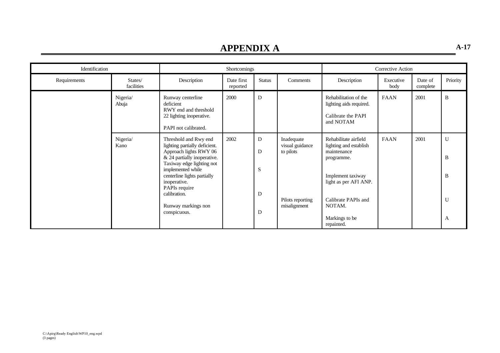| Identification |                       | Shortcomings                                                                                                                                                                                                     |                        |               |                                            | Corrective Action                                                                                                          |                   |                     |             |
|----------------|-----------------------|------------------------------------------------------------------------------------------------------------------------------------------------------------------------------------------------------------------|------------------------|---------------|--------------------------------------------|----------------------------------------------------------------------------------------------------------------------------|-------------------|---------------------|-------------|
| Requirements   | States/<br>facilities | Description                                                                                                                                                                                                      | Date first<br>reported | <b>Status</b> | Comments                                   | Description                                                                                                                | Executive<br>body | Date of<br>complete | Priority    |
|                | Nigeria/<br>Abuja     | Runway centerline<br>deficient<br>RWY end and threshold<br>22 lighting inoperative.<br>PAPI not calibrated.                                                                                                      | 2000                   | D             |                                            | Rehabilitation of the<br>lighting aids required.<br>Calibrate the PAPI<br>and NOTAM                                        | <b>FAAN</b>       | 2001                | B           |
|                | Nigeria/<br>Kano      | Threshold and Rwy end<br>lighting partially deficient.<br>Approach lights RWY 06<br>& 24 partially inoperative.<br>Taxiway edge lighting not<br>implemented while<br>centerline lights partially<br>inoperative. | 2002                   | D<br>D<br>S   | Inadequate<br>visual guidance<br>to pilots | Rehabilitate airfield<br>lighting and establish<br>maintenance<br>programme.<br>Implement taxiway<br>light as per AFI ANP. | FAAN              | 2001                | U<br>B<br>B |
|                |                       | PAPIs require<br>calibration.<br>Runway markings non<br>conspicuous.                                                                                                                                             |                        | D<br>D        | Pilots reporting<br>misalignment           | Calibrate PAPIs and<br>NOTAM.<br>Markings to be<br>repainted.                                                              |                   |                     | U<br>A      |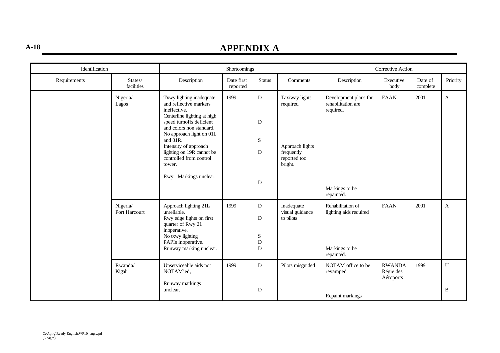**A-18 APPENDIX A**

| Identification |                           |                                                                                                                                                                                                                                                                                                                       | Corrective Action      |                                           |                                                                                        |                                                                                          |                                         |                     |              |
|----------------|---------------------------|-----------------------------------------------------------------------------------------------------------------------------------------------------------------------------------------------------------------------------------------------------------------------------------------------------------------------|------------------------|-------------------------------------------|----------------------------------------------------------------------------------------|------------------------------------------------------------------------------------------|-----------------------------------------|---------------------|--------------|
| Requirements   | States/<br>facilities     | Description                                                                                                                                                                                                                                                                                                           | Date first<br>reported | <b>Status</b>                             | Comments                                                                               | Description                                                                              | Executive<br>body                       | Date of<br>complete | Priority     |
|                | Nigeria/<br>Lagos         | Txwy lighting inadequate<br>and reflective markers<br>ineffective.<br>Centerline lighting at high<br>speed turnoffs deficient<br>and colors non standard.<br>No approach light on 01L<br>and 01R.<br>Intensity of approach<br>lighting on 19R cannot be<br>controlled from control<br>tower.<br>Rwy Markings unclear. | 1999                   | D<br>D<br>S<br>D<br>D                     | Taxiway lights<br>required<br>Approach lights<br>frequently<br>reported too<br>bright. | Development plans for<br>rehabilitation are<br>required.<br>Markings to be<br>repainted. | <b>FAAN</b>                             | 2001                | $\mathbf{A}$ |
|                | Nigeria/<br>Port Harcourt | Approach lighting 21L<br>unreliable.<br>Rwy edge lights on first<br>quarter of Rwy 21<br>inoperative.<br>No txwy lighting<br>PAPIs inoperative.<br>Runway marking unclear.                                                                                                                                            | 1999                   | D<br>D<br>$\mathbf S$<br>$\mathbf D$<br>D | Inadequate<br>visual guidance<br>to pilots                                             | Rehabilitation of<br>lighting aids required<br>Markings to be<br>repainted.              | <b>FAAN</b>                             | 2001                | $\mathbf{A}$ |
|                | Rwanda/<br>Kigali         | Unserviceable aids not<br>NOTAM'ed,<br>Runway markings<br>unclear.                                                                                                                                                                                                                                                    | 1999                   | D<br>D                                    | Pilots misguided                                                                       | NOTAM office to be<br>revamped<br>Repaint markings                                       | <b>RWANDA</b><br>Régie des<br>Aéroports | 1999                | U<br>B       |